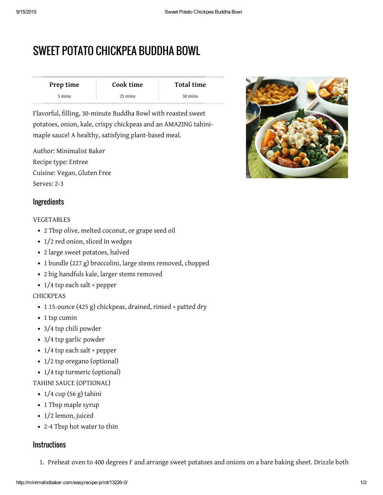# SWEET POTATO CHICKPEA BUDDHA BOWL

| Prep time | Cook time | Total time |
|-----------|-----------|------------|
| 5 mins    | 25 mins   | 30 mins    |

Flavorful, filling, 30-minute Buddha Bowl with roasted sweet potatoes, onion, kale, crispy chickpeas and an AMAZING tahinimaple sauce! A healthy, satisfying plant-based meal.

Author: Minimalist Baker Recipe type: Entree Cuisine: Vegan, Gluten Free Serves: 2-3



# **Ingredients**

#### VEGETABLES

- 2 Tbsp olive, melted coconut, or grape seed oil
- 1/2 red onion, sliced in wedges
- 2 large sweet potatoes, halved
- 1 bundle (227 g) broccolini, large stems removed, chopped
- 2 big handfuls kale, larger stems removed
- 1/4 tsp each salt + pepper

#### CHICKPEAS

- 1 15-ounce (425 g) chickpeas, drained, rinsed + patted dry
- 1 tsp cumin
- 3/4 tsp chili powder
- 3/4 tsp garlic powder
- 1/4 tsp each salt + pepper
- $1/2$  tsp oregano (optional)
- 1/4 tsp turmeric (optional)

#### TAHINI SAUCE (OPTIONAL)

- $\cdot$  1/4 cup (56 g) tahini
- 1 Tbsp maple syrup
- 1/2 lemon, juiced
- 2-4 Tbsp hot water to thin

### **Instructions**

1. Preheat oven to 400 degrees F and arrange sweet potatoes and onions on a bare baking sheet. Drizzle both